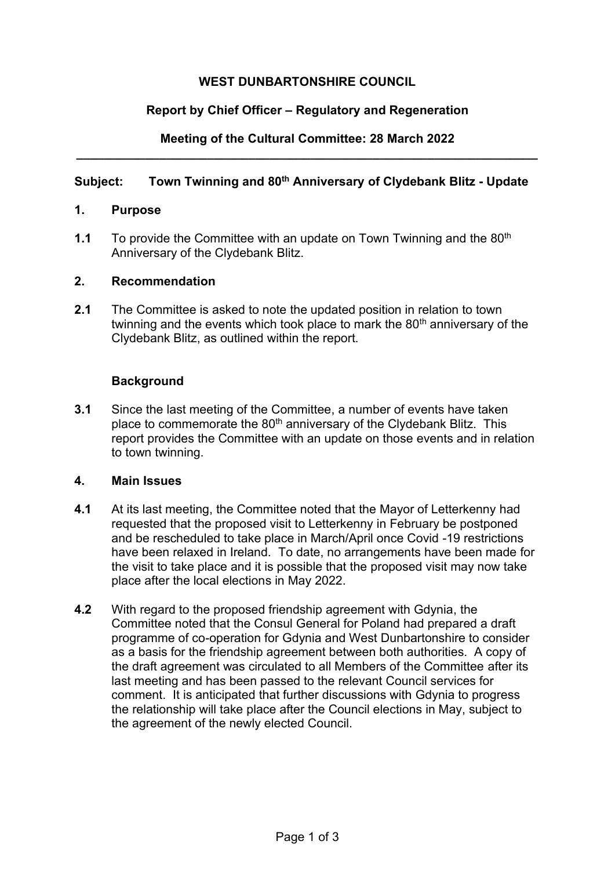# **WEST DUNBARTONSHIRE COUNCIL**

# **Report by Chief Officer – Regulatory and Regeneration**

## **Meeting of the Cultural Committee: 28 March 2022 \_\_\_\_\_\_\_\_\_\_\_\_\_\_\_\_\_\_\_\_\_\_\_\_\_\_\_\_\_\_\_\_\_\_\_\_\_\_\_\_\_\_\_\_\_\_\_\_\_\_\_\_\_\_\_\_\_\_\_\_\_\_\_\_\_\_\_**

# **Subject: Town Twinning and 80th Anniversary of Clydebank Blitz - Update**

#### **1. Purpose**

**1.1** To provide the Committee with an update on Town Twinning and the 80<sup>th</sup> Anniversary of the Clydebank Blitz.

#### **2. Recommendation**

**2.1** The Committee is asked to note the updated position in relation to town twinning and the events which took place to mark the  $80<sup>th</sup>$  anniversary of the Clydebank Blitz, as outlined within the report.

## **Background**

**3.1** Since the last meeting of the Committee, a number of events have taken place to commemorate the 80<sup>th</sup> anniversary of the Clydebank Blitz. This report provides the Committee with an update on those events and in relation to town twinning.

#### **4. Main Issues**

- **4.1** At its last meeting, the Committee noted that the Mayor of Letterkenny had requested that the proposed visit to Letterkenny in February be postponed and be rescheduled to take place in March/April once Covid -19 restrictions have been relaxed in Ireland. To date, no arrangements have been made for the visit to take place and it is possible that the proposed visit may now take place after the local elections in May 2022.
- **4.2** With regard to the proposed friendship agreement with Gdynia, the Committee noted that the Consul General for Poland had prepared a draft programme of co-operation for Gdynia and West Dunbartonshire to consider as a basis for the friendship agreement between both authorities. A copy of the draft agreement was circulated to all Members of the Committee after its last meeting and has been passed to the relevant Council services for comment. It is anticipated that further discussions with Gdynia to progress the relationship will take place after the Council elections in May, subject to the agreement of the newly elected Council.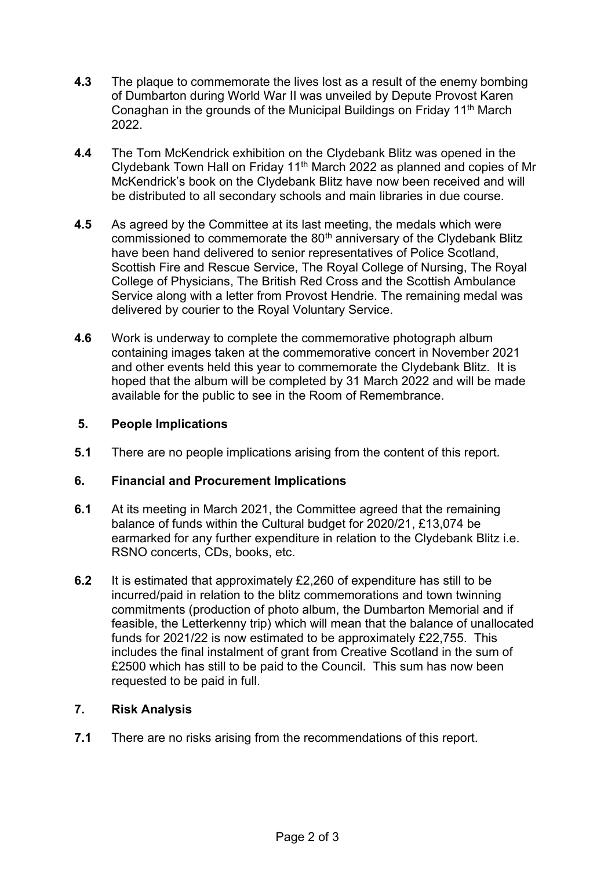- **4.3** The plaque to commemorate the lives lost as a result of the enemy bombing of Dumbarton during World War II was unveiled by Depute Provost Karen Conaghan in the grounds of the Municipal Buildings on Friday 11<sup>th</sup> March 2022.
- **4.4** The Tom McKendrick exhibition on the Clydebank Blitz was opened in the Clydebank Town Hall on Friday 11th March 2022 as planned and copies of Mr McKendrick's book on the Clydebank Blitz have now been received and will be distributed to all secondary schools and main libraries in due course.
- **4.5** As agreed by the Committee at its last meeting, the medals which were commissioned to commemorate the 80<sup>th</sup> anniversary of the Clydebank Blitz have been hand delivered to senior representatives of Police Scotland, Scottish Fire and Rescue Service, The Royal College of Nursing, The Royal College of Physicians, The British Red Cross and the Scottish Ambulance Service along with a letter from Provost Hendrie. The remaining medal was delivered by courier to the Royal Voluntary Service.
- **4.6** Work is underway to complete the commemorative photograph album containing images taken at the commemorative concert in November 2021 and other events held this year to commemorate the Clydebank Blitz. It is hoped that the album will be completed by 31 March 2022 and will be made available for the public to see in the Room of Remembrance.

## **5. People Implications**

**5.1** There are no people implications arising from the content of this report.

#### **6. Financial and Procurement Implications**

- **6.1** At its meeting in March 2021, the Committee agreed that the remaining balance of funds within the Cultural budget for 2020/21, £13,074 be earmarked for any further expenditure in relation to the Clydebank Blitz i.e. RSNO concerts, CDs, books, etc.
- **6.2** It is estimated that approximately £2,260 of expenditure has still to be incurred/paid in relation to the blitz commemorations and town twinning commitments (production of photo album, the Dumbarton Memorial and if feasible, the Letterkenny trip) which will mean that the balance of unallocated funds for 2021/22 is now estimated to be approximately £22,755. This includes the final instalment of grant from Creative Scotland in the sum of £2500 which has still to be paid to the Council. This sum has now been requested to be paid in full.

# **7. Risk Analysis**

**7.1** There are no risks arising from the recommendations of this report.